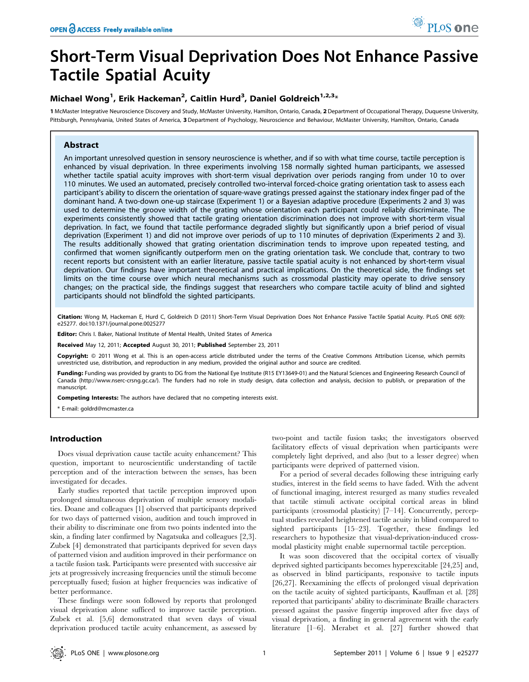# Short-Term Visual Deprivation Does Not Enhance Passive Tactile Spatial Acuity

## Michael Wong<sup>1</sup>, Erik Hackeman<sup>2</sup>, Caitlin Hurd<sup>3</sup>, Daniel Goldreich<sup>1,2,3</sup>\*

1 McMaster Integrative Neuroscience Discovery and Study, McMaster University, Hamilton, Ontario, Canada, 2 Department of Occupational Therapy, Duquesne University, Pittsburgh, Pennsylvania, United States of America, 3 Department of Psychology, Neuroscience and Behaviour, McMaster University, Hamilton, Ontario, Canada

## Abstract

An important unresolved question in sensory neuroscience is whether, and if so with what time course, tactile perception is enhanced by visual deprivation. In three experiments involving 158 normally sighted human participants, we assessed whether tactile spatial acuity improves with short-term visual deprivation over periods ranging from under 10 to over 110 minutes. We used an automated, precisely controlled two-interval forced-choice grating orientation task to assess each participant's ability to discern the orientation of square-wave gratings pressed against the stationary index finger pad of the dominant hand. A two-down one-up staircase (Experiment 1) or a Bayesian adaptive procedure (Experiments 2 and 3) was used to determine the groove width of the grating whose orientation each participant could reliably discriminate. The experiments consistently showed that tactile grating orientation discrimination does not improve with short-term visual deprivation. In fact, we found that tactile performance degraded slightly but significantly upon a brief period of visual deprivation (Experiment 1) and did not improve over periods of up to 110 minutes of deprivation (Experiments 2 and 3). The results additionally showed that grating orientation discrimination tends to improve upon repeated testing, and confirmed that women significantly outperform men on the grating orientation task. We conclude that, contrary to two recent reports but consistent with an earlier literature, passive tactile spatial acuity is not enhanced by short-term visual deprivation. Our findings have important theoretical and practical implications. On the theoretical side, the findings set limits on the time course over which neural mechanisms such as crossmodal plasticity may operate to drive sensory changes; on the practical side, the findings suggest that researchers who compare tactile acuity of blind and sighted participants should not blindfold the sighted participants.

Citation: Wong M, Hackeman E, Hurd C, Goldreich D (2011) Short-Term Visual Deprivation Does Not Enhance Passive Tactile Spatial Acuity. PLoS ONE 6(9): e25277. doi:10.1371/journal.pone.0025277

Editor: Chris I. Baker, National Institute of Mental Health, United States of America

Received May 12, 2011; Accepted August 30, 2011; Published September 23, 2011

Copyright: © 2011 Wong et al. This is an open-access article distributed under the terms of the Creative Commons Attribution License, which permits unrestricted use, distribution, and reproduction in any medium, provided the original author and source are credited.

Funding: Funding was provided by grants to DG from the National Eye Institute (R15 EY13649-01) and the Natural Sciences and Engineering Research Council of Canada (http://www.nserc-crsng.gc.ca/). The funders had no role in study design, data collection and analysis, decision to publish, or preparation of the manuscript.

Competing Interests: The authors have declared that no competing interests exist.

\* E-mail: goldrd@mcmaster.ca

## Introduction

Does visual deprivation cause tactile acuity enhancement? This question, important to neuroscientific understanding of tactile perception and of the interaction between the senses, has been investigated for decades.

Early studies reported that tactile perception improved upon prolonged simultaneous deprivation of multiple sensory modalities. Doane and colleagues [1] observed that participants deprived for two days of patterned vision, audition and touch improved in their ability to discriminate one from two points indented into the skin, a finding later confirmed by Nagatsuka and colleagues [2,3]. Zubek [4] demonstrated that participants deprived for seven days of patterned vision and audition improved in their performance on a tactile fusion task. Participants were presented with successive air jets at progressively increasing frequencies until the stimuli become perceptually fused; fusion at higher frequencies was indicative of better performance.

These findings were soon followed by reports that prolonged visual deprivation alone sufficed to improve tactile perception. Zubek et al. [5,6] demonstrated that seven days of visual deprivation produced tactile acuity enhancement, as assessed by two-point and tactile fusion tasks; the investigators observed facilitatory effects of visual deprivation when participants were completely light deprived, and also (but to a lesser degree) when participants were deprived of patterned vision.

For a period of several decades following these intriguing early studies, interest in the field seems to have faded. With the advent of functional imaging, interest resurged as many studies revealed that tactile stimuli activate occipital cortical areas in blind participants (crossmodal plasticity) [7–14]. Concurrently, perceptual studies revealed heightened tactile acuity in blind compared to sighted participants [15–23]. Together, these findings led researchers to hypothesize that visual-deprivation-induced crossmodal plasticity might enable supernormal tactile perception.

It was soon discovered that the occipital cortex of visually deprived sighted participants becomes hyperexcitable [24,25] and, as observed in blind participants, responsive to tactile inputs [26,27]. Reexamining the effects of prolonged visual deprivation on the tactile acuity of sighted participants, Kauffman et al. [28] reported that participants' ability to discriminate Braille characters pressed against the passive fingertip improved after five days of visual deprivation, a finding in general agreement with the early literature [1–6]. Merabet et al. [27] further showed that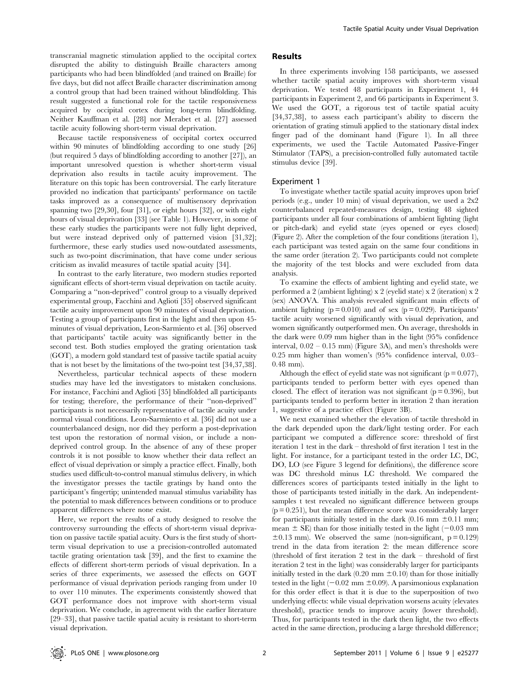transcranial magnetic stimulation applied to the occipital cortex disrupted the ability to distinguish Braille characters among participants who had been blindfolded (and trained on Braille) for five days, but did not affect Braille character discrimination among a control group that had been trained without blindfolding. This result suggested a functional role for the tactile responsiveness acquired by occipital cortex during long-term blindfolding. Neither Kauffman et al. [28] nor Merabet et al. [27] assessed tactile acuity following short-term visual deprivation.

Because tactile responsiveness of occipital cortex occurred within 90 minutes of blindfolding according to one study [26] (but required 5 days of blindfolding according to another [27]), an important unresolved question is whether short-term visual deprivation also results in tactile acuity improvement. The literature on this topic has been controversial. The early literature provided no indication that participants' performance on tactile tasks improved as a consequence of multisensory deprivation spanning two [29,30], four [31], or eight hours [32], or with eight hours of visual deprivation [33] (see Table 1). However, in some of these early studies the participants were not fully light deprived, but were instead deprived only of patterned vision [31,32]; furthermore, these early studies used now-outdated assessments, such as two-point discrimination, that have come under serious criticism as invalid measures of tactile spatial acuity [34].

In contrast to the early literature, two modern studies reported significant effects of short-term visual deprivation on tactile acuity. Comparing a ''non-deprived'' control group to a visually deprived experimental group, Facchini and Aglioti [35] observed significant tactile acuity improvement upon 90 minutes of visual deprivation. Testing a group of participants first in the light and then upon 45 minutes of visual deprivation, Leon-Sarmiento et al. [36] observed that participants' tactile acuity was significantly better in the second test. Both studies employed the grating orientation task (GOT), a modern gold standard test of passive tactile spatial acuity that is not beset by the limitations of the two-point test [34,37,38].

Nevertheless, particular technical aspects of these modern studies may have led the investigators to mistaken conclusions. For instance, Facchini and Aglioti [35] blindfolded all participants for testing; therefore, the performance of their ''non-deprived'' participants is not necessarily representative of tactile acuity under normal visual conditions. Leon-Sarmiento et al. [36] did not use a counterbalanced design, nor did they perform a post-deprivation test upon the restoration of normal vision, or include a nondeprived control group. In the absence of any of these proper controls it is not possible to know whether their data reflect an effect of visual deprivation or simply a practice effect. Finally, both studies used difficult-to-control manual stimulus delivery, in which the investigator presses the tactile gratings by hand onto the participant's fingertip; unintended manual stimulus variability has the potential to mask differences between conditions or to produce apparent differences where none exist.

Here, we report the results of a study designed to resolve the controversy surrounding the effects of short-term visual deprivation on passive tactile spatial acuity. Ours is the first study of shortterm visual deprivation to use a precision-controlled automated tactile grating orientation task [39], and the first to examine the effects of different short-term periods of visual deprivation. In a series of three experiments, we assessed the effects on GOT performance of visual deprivation periods ranging from under 10 to over 110 minutes. The experiments consistently showed that GOT performance does not improve with short-term visual deprivation. We conclude, in agreement with the earlier literature [29–33], that passive tactile spatial acuity is resistant to short-term visual deprivation.

## Results

In three experiments involving 158 participants, we assessed whether tactile spatial acuity improves with short-term visual deprivation. We tested 48 participants in Experiment 1, 44 participants in Experiment 2, and 66 participants in Experiment 3. We used the GOT, a rigorous test of tactile spatial acuity [34,37,38], to assess each participant's ability to discern the orientation of grating stimuli applied to the stationary distal index finger pad of the dominant hand (Figure 1). In all three experiments, we used the Tactile Automated Passive-Finger Stimulator (TAPS), a precision-controlled fully automated tactile stimulus device [39].

## Experiment 1

To investigate whether tactile spatial acuity improves upon brief periods (e.g., under 10 min) of visual deprivation, we used a 2x2 counterbalanced repeated-measures design, testing 48 sighted participants under all four combinations of ambient lighting (light or pitch-dark) and eyelid state (eyes opened or eyes closed) (Figure 2). After the completion of the four conditions (iteration 1), each participant was tested again on the same four conditions in the same order (iteration 2). Two participants could not complete the majority of the test blocks and were excluded from data analysis.

To examine the effects of ambient lighting and eyelid state, we performed a 2 (ambient lighting) x 2 (eyelid state) x 2 (iteration) x 2 (sex) ANOVA. This analysis revealed significant main effects of ambient lighting  $(p = 0.010)$  and of sex  $(p = 0.029)$ . Participants' tactile acuity worsened significantly with visual deprivation, and women significantly outperformed men. On average, thresholds in the dark were 0.09 mm higher than in the light (95% confidence interval,  $0.02 - 0.15$  mm) (Figure 3A), and men's thresholds were 0.25 mm higher than women's (95% confidence interval, 0.03– 0.48 mm).

Although the effect of eyelid state was not significant ( $p = 0.077$ ), participants tended to perform better with eyes opened than closed. The effect of iteration was not significant ( $p = 0.396$ ), but participants tended to perform better in iteration 2 than iteration 1, suggestive of a practice effect (Figure 3B).

We next examined whether the elevation of tactile threshold in the dark depended upon the dark/light testing order. For each participant we computed a difference score: threshold of first iteration 1 test in the dark – threshold of first iteration 1 test in the light. For instance, for a participant tested in the order LC, DC, DO, LO (see Figure 3 legend for definitions), the difference score was DC threshold minus LC threshold. We compared the differences scores of participants tested initially in the light to those of participants tested initially in the dark. An independentsamples t test revealed no significant difference between groups  $(p = 0.251)$ , but the mean difference score was considerably larger for participants initially tested in the dark  $(0.16 \text{ mm } \pm 0.11 \text{ mm})$ ; mean  $\pm$  SE) than for those initially tested in the light ( $-0.03$  mm  $\pm 0.13$  mm). We observed the same (non-significant, p = 0.129) trend in the data from iteration 2: the mean difference score (threshold of first iteration 2 test in the dark – threshold of first iteration 2 test in the light) was considerably larger for participants initially tested in the dark (0.20 mm  $\pm$ 0.10) than for those initially tested in the light  $(-0.02 \text{ mm } \pm 0.09)$ . A parsimonious explanation for this order effect is that it is due to the superposition of two underlying effects: while visual deprivation worsens acuity (elevates threshold), practice tends to improve acuity (lower threshold). Thus, for participants tested in the dark then light, the two effects acted in the same direction, producing a large threshold difference;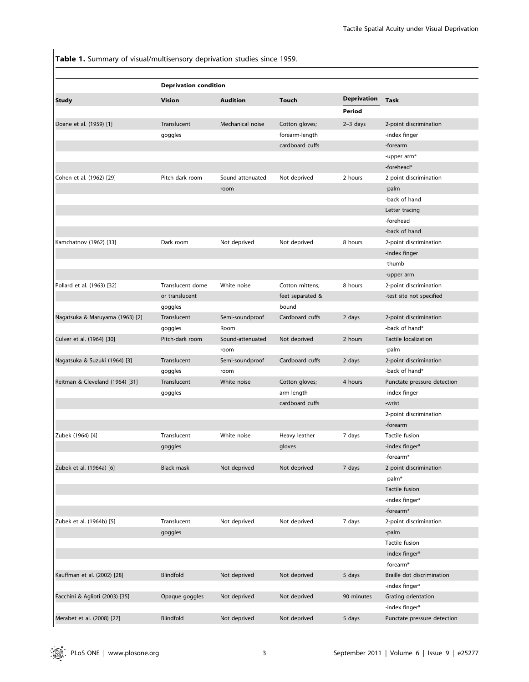Table 1. Summary of visual/multisensory deprivation studies since 1959.

|                                 | <b>Deprivation condition</b> |                  |                  |                    |                             |
|---------------------------------|------------------------------|------------------|------------------|--------------------|-----------------------------|
| Study                           | <b>Vision</b>                | <b>Audition</b>  | <b>Touch</b>     | <b>Deprivation</b> | <b>Task</b>                 |
|                                 |                              |                  |                  | Period             |                             |
| Doane et al. (1959) [1]         | Translucent                  | Mechanical noise | Cotton gloves;   | $2-3$ days         | 2-point discrimination      |
|                                 | goggles                      |                  | forearm-length   |                    | -index finger               |
|                                 |                              |                  | cardboard cuffs  |                    | -forearm                    |
|                                 |                              |                  |                  |                    | -upper arm*                 |
|                                 |                              |                  |                  |                    | -forehead*                  |
| Cohen et al. (1962) [29]        | Pitch-dark room              | Sound-attenuated | Not deprived     | 2 hours            | 2-point discrimination      |
|                                 |                              | room             |                  |                    | -palm                       |
|                                 |                              |                  |                  |                    | -back of hand               |
|                                 |                              |                  |                  |                    | Letter tracing              |
|                                 |                              |                  |                  |                    | -forehead                   |
|                                 |                              |                  |                  |                    | -back of hand               |
| Kamchatnov (1962) [33]          | Dark room                    | Not deprived     | Not deprived     | 8 hours            | 2-point discrimination      |
|                                 |                              |                  |                  |                    | -index finger               |
|                                 |                              |                  |                  |                    | -thumb                      |
|                                 |                              |                  |                  |                    |                             |
|                                 |                              |                  |                  |                    | -upper arm                  |
| Pollard et al. (1963) [32]      | Translucent dome             | White noise      | Cotton mittens:  | 8 hours            | 2-point discrimination      |
|                                 | or translucent               |                  | feet separated & |                    | -test site not specified    |
|                                 | goggles                      |                  | bound            |                    |                             |
| Nagatsuka & Maruyama (1963) [2] | Translucent                  | Semi-soundproof  | Cardboard cuffs  | 2 days             | 2-point discrimination      |
|                                 | goggles                      | Room             |                  |                    | -back of hand*              |
| Culver et al. (1964) [30]       | Pitch-dark room              | Sound-attenuated | Not deprived     | 2 hours            | Tactile localization        |
|                                 |                              | room             |                  |                    | -palm                       |
| Nagatsuka & Suzuki (1964) [3]   | Translucent                  | Semi-soundproof  | Cardboard cuffs  | 2 days             | 2-point discrimination      |
|                                 | goggles                      | room             |                  |                    | -back of hand*              |
| Reitman & Cleveland (1964) [31] | Translucent                  | White noise      | Cotton gloves;   | 4 hours            | Punctate pressure detection |
|                                 | goggles                      |                  | arm-length       |                    | -index finger               |
|                                 |                              |                  | cardboard cuffs  |                    | -wrist                      |
|                                 |                              |                  |                  |                    | 2-point discrimination      |
|                                 |                              |                  |                  |                    | -forearm                    |
| Zubek (1964) [4]                | Translucent                  | White noise      | Heavy leather    | 7 days             | Tactile fusion              |
|                                 | goggles                      |                  | gloves           |                    | -index finger*              |
|                                 |                              |                  |                  |                    | -forearm*                   |
| Zubek et al. (1964a) [6]        | Black mask                   | Not deprived     | Not deprived     | 7 days             | 2-point discrimination      |
|                                 |                              |                  |                  |                    | -palm*                      |
|                                 |                              |                  |                  |                    | Tactile fusion              |
|                                 |                              |                  |                  |                    | -index finger*              |
|                                 |                              |                  |                  |                    | -forearm*                   |
|                                 |                              |                  | Not deprived     |                    |                             |
| Zubek et al. (1964b) [5]        | Translucent                  | Not deprived     |                  | 7 days             | 2-point discrimination      |
|                                 | goggles                      |                  |                  |                    | -palm                       |
|                                 |                              |                  |                  |                    | <b>Tactile fusion</b>       |
|                                 |                              |                  |                  |                    | -index finger*              |
|                                 |                              |                  |                  |                    | -forearm*                   |
| Kauffman et al. (2002) [28]     | Blindfold                    | Not deprived     | Not deprived     | 5 days             | Braille dot discrimination  |
|                                 |                              |                  |                  |                    | -index finger*              |
| Facchini & Aglioti (2003) [35]  | Opaque goggles               | Not deprived     | Not deprived     | 90 minutes         | Grating orientation         |
|                                 |                              |                  |                  |                    | -index finger*              |
| Merabet et al. (2008) [27]      | Blindfold                    | Not deprived     | Not deprived     | 5 days             | Punctate pressure detection |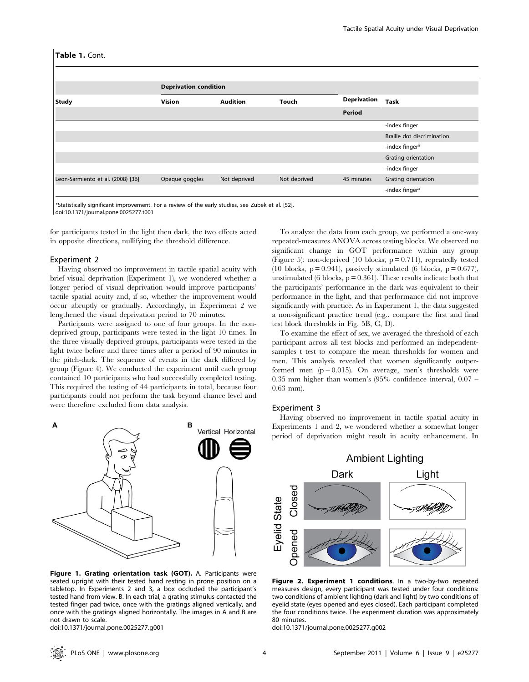|                                   | <b>Deprivation condition</b> |                 |              |                    |                            |  |  |
|-----------------------------------|------------------------------|-----------------|--------------|--------------------|----------------------------|--|--|
| <b>Study</b>                      | <b>Vision</b>                | <b>Audition</b> | <b>Touch</b> | <b>Deprivation</b> | <b>Task</b>                |  |  |
|                                   |                              |                 |              | Period             |                            |  |  |
|                                   |                              |                 |              |                    | -index finger              |  |  |
|                                   |                              |                 |              |                    | Braille dot discrimination |  |  |
|                                   |                              |                 |              |                    | -index finger*             |  |  |
|                                   |                              |                 |              |                    | Grating orientation        |  |  |
|                                   |                              |                 |              |                    | -index finger              |  |  |
| Leon-Sarmiento et al. (2008) [36] | Opaque goggles               | Not deprived    | Not deprived | 45 minutes         | Grating orientation        |  |  |
|                                   |                              |                 |              |                    | -index finger*             |  |  |

\*Statistically significant improvement. For a review of the early studies, see Zubek et al. [52]. doi:10.1371/journal.pone.0025277.t001

for participants tested in the light then dark, the two effects acted in opposite directions, nullifying the threshold difference.

#### Experiment 2

Having observed no improvement in tactile spatial acuity with brief visual deprivation (Experiment 1), we wondered whether a longer period of visual deprivation would improve participants' tactile spatial acuity and, if so, whether the improvement would occur abruptly or gradually. Accordingly, in Experiment 2 we lengthened the visual deprivation period to 70 minutes.

Participants were assigned to one of four groups. In the nondeprived group, participants were tested in the light 10 times. In the three visually deprived groups, participants were tested in the light twice before and three times after a period of 90 minutes in the pitch-dark. The sequence of events in the dark differed by group (Figure 4). We conducted the experiment until each group contained 10 participants who had successfully completed testing. This required the testing of 44 participants in total, because four participants could not perform the task beyond chance level and were therefore excluded from data analysis.



Figure 1. Grating orientation task (GOT). A. Participants were seated upright with their tested hand resting in prone position on a tabletop. In Experiments 2 and 3, a box occluded the participant's tested hand from view. B. In each trial, a grating stimulus contacted the tested finger pad twice, once with the gratings aligned vertically, and once with the gratings aligned horizontally. The images in A and B are not drawn to scale.

doi:10.1371/journal.pone.0025277.g001

To analyze the data from each group, we performed a one-way repeated-measures ANOVA across testing blocks. We observed no significant change in GOT performance within any group (Figure 5): non-deprived (10 blocks,  $p = 0.711$ ), repeatedly tested (10 blocks,  $p = 0.941$ ), passively stimulated (6 blocks,  $p = 0.677$ ), unstimulated (6 blocks,  $p = 0.361$ ). These results indicate both that the participants' performance in the dark was equivalent to their performance in the light, and that performance did not improve significantly with practice. As in Experiment 1, the data suggested a non-significant practice trend (e.g., compare the first and final test block thresholds in Fig. 5B, C, D).

To examine the effect of sex, we averaged the threshold of each participant across all test blocks and performed an independentsamples t test to compare the mean thresholds for women and men. This analysis revealed that women significantly outperformed men  $(p = 0.015)$ . On average, men's thresholds were 0.35 mm higher than women's (95% confidence interval, 0.07 – 0.63 mm).

## Experiment 3

Having observed no improvement in tactile spatial acuity in Experiments 1 and 2, we wondered whether a somewhat longer period of deprivation might result in acuity enhancement. In



Figure 2. Experiment 1 conditions. In a two-by-two repeated measures design, every participant was tested under four conditions: two conditions of ambient lighting (dark and light) by two conditions of eyelid state (eyes opened and eyes closed). Each participant completed the four conditions twice. The experiment duration was approximately 80 minutes.

doi:10.1371/journal.pone.0025277.g002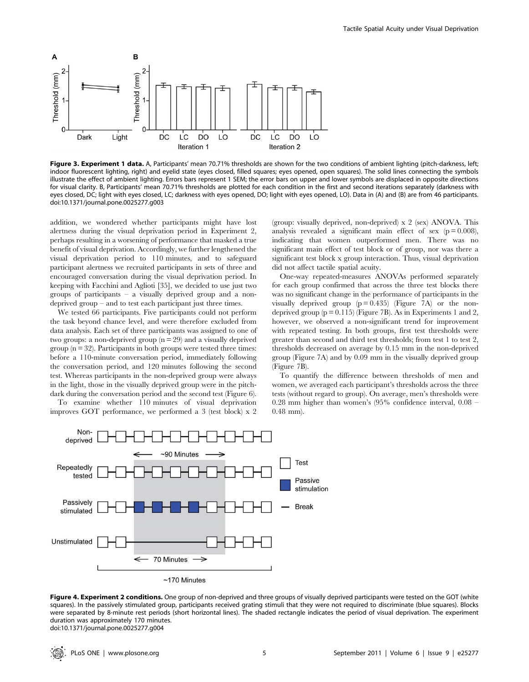

Figure 3. Experiment 1 data. A, Participants' mean 70.71% thresholds are shown for the two conditions of ambient lighting (pitch-darkness, left; indoor fluorescent lighting, right) and eyelid state (eyes closed, filled squares; eyes opened, open squares). The solid lines connecting the symbols illustrate the effect of ambient lighting. Errors bars represent 1 SEM; the error bars on upper and lower symbols are displaced in opposite directions for visual clarity. B, Participants' mean 70.71% thresholds are plotted for each condition in the first and second iterations separately (darkness with eyes closed, DC; light with eyes closed, LC; darkness with eyes opened, DO; light with eyes opened, LO). Data in (A) and (B) are from 46 participants. doi:10.1371/journal.pone.0025277.g003

addition, we wondered whether participants might have lost alertness during the visual deprivation period in Experiment 2, perhaps resulting in a worsening of performance that masked a true benefit of visual deprivation. Accordingly, we further lengthened the visual deprivation period to 110 minutes, and to safeguard participant alertness we recruited participants in sets of three and encouraged conversation during the visual deprivation period. In keeping with Facchini and Aglioti [35], we decided to use just two groups of participants – a visually deprived group and a nondeprived group – and to test each participant just three times.

We tested 66 participants. Five participants could not perform the task beyond chance level, and were therefore excluded from data analysis. Each set of three participants was assigned to one of two groups: a non-deprived group  $(n = 29)$  and a visually deprived group  $(n = 32)$ . Participants in both groups were tested three times: before a 110-minute conversation period, immediately following the conversation period, and 120 minutes following the second test. Whereas participants in the non-deprived group were always in the light, those in the visually deprived group were in the pitchdark during the conversation period and the second test (Figure 6).

To examine whether 110 minutes of visual deprivation improves GOT performance, we performed a 3 (test block) x 2

(group: visually deprived, non-deprived) x 2 (sex) ANOVA. This analysis revealed a significant main effect of sex  $(p = 0.008)$ , indicating that women outperformed men. There was no significant main effect of test block or of group, nor was there a significant test block x group interaction. Thus, visual deprivation did not affect tactile spatial acuity.

One-way repeated-measures ANOVAs performed separately for each group confirmed that across the three test blocks there was no significant change in the performance of participants in the visually deprived group  $(p = 0.435)$  (Figure 7A) or the nondeprived group  $(p = 0.115)$  (Figure 7B). As in Experiments 1 and 2, however, we observed a non-significant trend for improvement with repeated testing. In both groups, first test thresholds were greater than second and third test thresholds; from test 1 to test 2, thresholds decreased on average by 0.15 mm in the non-deprived group (Figure 7A) and by 0.09 mm in the visually deprived group (Figure 7B).

To quantify the difference between thresholds of men and women, we averaged each participant's thresholds across the three tests (without regard to group). On average, men's thresholds were 0.28 mm higher than women's (95% confidence interval, 0.08 – 0.48 mm).



Figure 4. Experiment 2 conditions. One group of non-deprived and three groups of visually deprived participants were tested on the GOT (white squares). In the passively stimulated group, participants received grating stimuli that they were not required to discriminate (blue squares). Blocks were separated by 8-minute rest periods (short horizontal lines). The shaded rectangle indicates the period of visual deprivation. The experiment duration was approximately 170 minutes. doi:10.1371/journal.pone.0025277.g004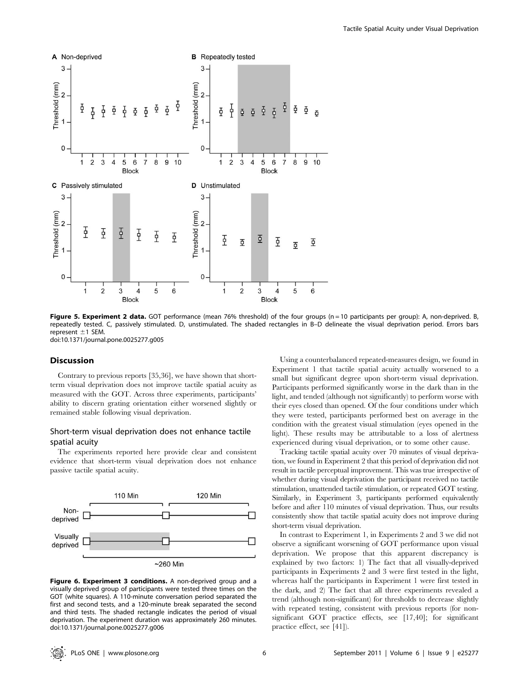

Figure 5. Experiment 2 data. GOT performance (mean 76% threshold) of the four groups (n = 10 participants per group): A, non-deprived. B, repeatedly tested. C, passively stimulated. D, unstimulated. The shaded rectangles in B–D delineate the visual deprivation period. Errors bars represent  $\pm$ 1 SEM. doi:10.1371/journal.pone.0025277.g005

## Discussion

Contrary to previous reports [35,36], we have shown that shortterm visual deprivation does not improve tactile spatial acuity as measured with the GOT. Across three experiments, participants' ability to discern grating orientation either worsened slightly or remained stable following visual deprivation.

## Short-term visual deprivation does not enhance tactile spatial acuity

The experiments reported here provide clear and consistent evidence that short-term visual deprivation does not enhance passive tactile spatial acuity.



Figure 6. Experiment 3 conditions. A non-deprived group and a visually deprived group of participants were tested three times on the GOT (white squares). A 110-minute conversation period separated the first and second tests, and a 120-minute break separated the second and third tests. The shaded rectangle indicates the period of visual deprivation. The experiment duration was approximately 260 minutes. doi:10.1371/journal.pone.0025277.g006

Using a counterbalanced repeated-measures design, we found in Experiment 1 that tactile spatial acuity actually worsened to a small but significant degree upon short-term visual deprivation. Participants performed significantly worse in the dark than in the light, and tended (although not significantly) to perform worse with their eyes closed than opened. Of the four conditions under which they were tested, participants performed best on average in the condition with the greatest visual stimulation (eyes opened in the light). These results may be attributable to a loss of alertness experienced during visual deprivation, or to some other cause.

Tracking tactile spatial acuity over 70 minutes of visual deprivation, we found in Experiment 2 that this period of deprivation did not result in tactile perceptual improvement. This was true irrespective of whether during visual deprivation the participant received no tactile stimulation, unattended tactile stimulation, or repeated GOT testing. Similarly, in Experiment 3, participants performed equivalently before and after 110 minutes of visual deprivation. Thus, our results consistently show that tactile spatial acuity does not improve during short-term visual deprivation.

In contrast to Experiment 1, in Experiments 2 and 3 we did not observe a significant worsening of GOT performance upon visual deprivation. We propose that this apparent discrepancy is explained by two factors: 1) The fact that all visually-deprived participants in Experiments 2 and 3 were first tested in the light, whereas half the participants in Experiment 1 were first tested in the dark, and 2) The fact that all three experiments revealed a trend (although non-significant) for thresholds to decrease slightly with repeated testing, consistent with previous reports (for nonsignificant GOT practice effects, see [17,40]; for significant practice effect, see [41]).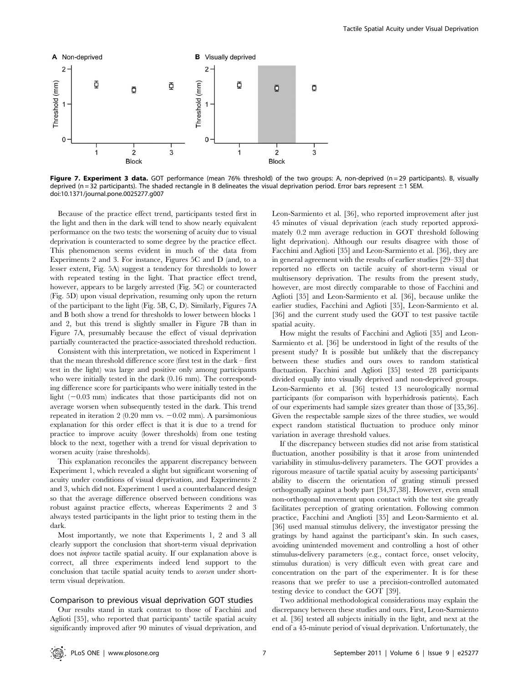

Figure 7. Experiment 3 data. GOT performance (mean 76% threshold) of the two groups: A, non-deprived (n = 29 participants). B, visually deprived (n = 32 participants). The shaded rectangle in B delineates the visual deprivation period. Error bars represent  $\pm 1$  SEM. doi:10.1371/journal.pone.0025277.g007

Because of the practice effect trend, participants tested first in the light and then in the dark will tend to show nearly equivalent performance on the two tests: the worsening of acuity due to visual deprivation is counteracted to some degree by the practice effect. This phenomenon seems evident in much of the data from Experiments 2 and 3. For instance, Figures 5C and D (and, to a lesser extent, Fig. 5A) suggest a tendency for thresholds to lower with repeated testing in the light. That practice effect trend, however, appears to be largely arrested (Fig. 5C) or counteracted (Fig. 5D) upon visual deprivation, resuming only upon the return of the participant to the light (Fig. 5B, C, D). Similarly, Figures 7A and B both show a trend for thresholds to lower between blocks 1 and 2, but this trend is slightly smaller in Figure 7B than in Figure 7A, presumably because the effect of visual deprivation partially counteracted the practice-associated threshold reduction.

Consistent with this interpretation, we noticed in Experiment 1 that the mean threshold difference score (first test in the dark – first test in the light) was large and positive only among participants who were initially tested in the dark (0.16 mm). The corresponding difference score for participants who were initially tested in the light  $(-0.03 \text{ mm})$  indicates that those participants did not on average worsen when subsequently tested in the dark. This trend repeated in iteration  $2(0.20 \text{ mm vs. } -0.02 \text{ mm})$ . A parsimonious explanation for this order effect is that it is due to a trend for practice to improve acuity (lower thresholds) from one testing block to the next, together with a trend for visual deprivation to worsen acuity (raise thresholds).

This explanation reconciles the apparent discrepancy between Experiment 1, which revealed a slight but significant worsening of acuity under conditions of visual deprivation, and Experiments 2 and 3, which did not. Experiment 1 used a counterbalanced design so that the average difference observed between conditions was robust against practice effects, whereas Experiments 2 and 3 always tested participants in the light prior to testing them in the dark.

Most importantly, we note that Experiments 1, 2 and 3 all clearly support the conclusion that short-term visual deprivation does not improve tactile spatial acuity. If our explanation above is correct, all three experiments indeed lend support to the conclusion that tactile spatial acuity tends to worsen under shortterm visual deprivation.

#### Comparison to previous visual deprivation GOT studies

Our results stand in stark contrast to those of Facchini and Aglioti [35], who reported that participants' tactile spatial acuity significantly improved after 90 minutes of visual deprivation, and Leon-Sarmiento et al. [36], who reported improvement after just 45 minutes of visual deprivation (each study reported approximately 0.2 mm average reduction in GOT threshold following light deprivation). Although our results disagree with those of Facchini and Aglioti [35] and Leon-Sarmiento et al. [36], they are in general agreement with the results of earlier studies [29–33] that reported no effects on tactile acuity of short-term visual or multisensory deprivation. The results from the present study, however, are most directly comparable to those of Facchini and Aglioti [35] and Leon-Sarmiento et al. [36], because unlike the earlier studies, Facchini and Aglioti [35], Leon-Sarmiento et al. [36] and the current study used the GOT to test passive tactile spatial acuity.

How might the results of Facchini and Aglioti [35] and Leon-Sarmiento et al. [36] be understood in light of the results of the present study? It is possible but unlikely that the discrepancy between these studies and ours owes to random statistical fluctuation. Facchini and Aglioti [35] tested 28 participants divided equally into visually deprived and non-deprived groups. Leon-Sarmiento et al. [36] tested 13 neurologically normal participants (for comparison with hyperhidrosis patients). Each of our experiments had sample sizes greater than those of [35,36]. Given the respectable sample sizes of the three studies, we would expect random statistical fluctuation to produce only minor variation in average threshold values.

If the discrepancy between studies did not arise from statistical fluctuation, another possibility is that it arose from unintended variability in stimulus-delivery parameters. The GOT provides a rigorous measure of tactile spatial acuity by assessing participants' ability to discern the orientation of grating stimuli pressed orthogonally against a body part [34,37,38]. However, even small non-orthogonal movement upon contact with the test site greatly facilitates perception of grating orientation. Following common practice, Facchini and Anglioti [35] and Leon-Sarmiento et al. [36] used manual stimulus delivery, the investigator pressing the gratings by hand against the participant's skin. In such cases, avoiding unintended movement and controlling a host of other stimulus-delivery parameters (e.g., contact force, onset velocity, stimulus duration) is very difficult even with great care and concentration on the part of the experimenter. It is for these reasons that we prefer to use a precision-controlled automated testing device to conduct the GOT [39].

Two additional methodological considerations may explain the discrepancy between these studies and ours. First, Leon-Sarmiento et al. [36] tested all subjects initially in the light, and next at the end of a 45-minute period of visual deprivation. Unfortunately, the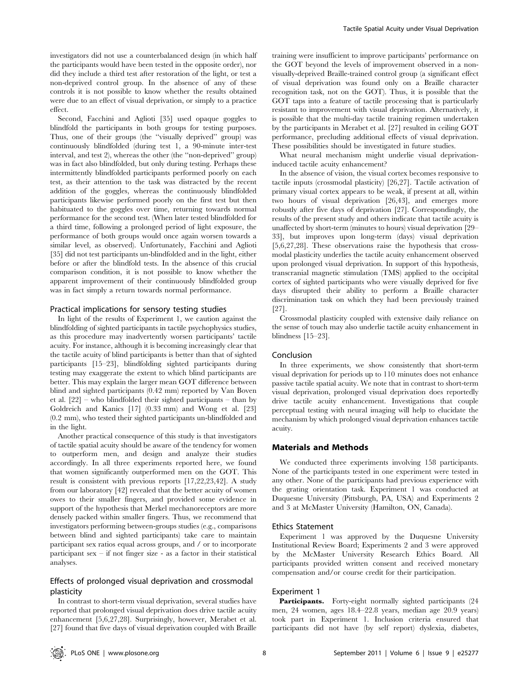investigators did not use a counterbalanced design (in which half the participants would have been tested in the opposite order), nor did they include a third test after restoration of the light, or test a non-deprived control group. In the absence of any of these controls it is not possible to know whether the results obtained were due to an effect of visual deprivation, or simply to a practice effect.

Second, Facchini and Aglioti [35] used opaque goggles to blindfold the participants in both groups for testing purposes. Thus, one of their groups (the ''visually deprived'' group) was continuously blindfolded (during test 1, a 90-minute inter-test interval, and test 2), whereas the other (the ''non-deprived'' group) was in fact also blindfolded, but only during testing. Perhaps these intermittently blindfolded participants performed poorly on each test, as their attention to the task was distracted by the recent addition of the goggles, whereas the continuously blindfolded participants likewise performed poorly on the first test but then habituated to the goggles over time, returning towards normal performance for the second test. (When later tested blindfolded for a third time, following a prolonged period of light exposure, the performance of both groups would once again worsen towards a similar level, as observed). Unfortunately, Facchini and Aglioti [35] did not test participants un-blindfolded and in the light, either before or after the blindfold tests. In the absence of this crucial comparison condition, it is not possible to know whether the apparent improvement of their continuously blindfolded group was in fact simply a return towards normal performance.

## Practical implications for sensory testing studies

In light of the results of Experiment 1, we caution against the blindfolding of sighted participants in tactile psychophysics studies, as this procedure may inadvertently worsen participants' tactile acuity. For instance, although it is becoming increasingly clear that the tactile acuity of blind participants is better than that of sighted participants [15–23], blindfolding sighted participants during testing may exaggerate the extent to which blind participants are better. This may explain the larger mean GOT difference between blind and sighted participants (0.42 mm) reported by Van Boven et al. [22] – who blindfolded their sighted participants – than by Goldreich and Kanics [17] (0.33 mm) and Wong et al. [23] (0.2 mm), who tested their sighted participants un-blindfolded and in the light.

Another practical consequence of this study is that investigators of tactile spatial acuity should be aware of the tendency for women to outperform men, and design and analyze their studies accordingly. In all three experiments reported here, we found that women significantly outperformed men on the GOT. This result is consistent with previous reports [17,22,23,42]. A study from our laboratory [42] revealed that the better acuity of women owes to their smaller fingers, and provided some evidence in support of the hypothesis that Merkel mechanoreceptors are more densely packed within smaller fingers. Thus, we recommend that investigators performing between-groups studies (e.g., comparisons between blind and sighted participants) take care to maintain participant sex ratios equal across groups, and / or to incorporate participant sex – if not finger size - as a factor in their statistical analyses.

## Effects of prolonged visual deprivation and crossmodal plasticity

In contrast to short-term visual deprivation, several studies have reported that prolonged visual deprivation does drive tactile acuity enhancement [5,6,27,28]. Surprisingly, however, Merabet et al. [27] found that five days of visual deprivation coupled with Braille

training were insufficient to improve participants' performance on the GOT beyond the levels of improvement observed in a nonvisually-deprived Braille-trained control group (a significant effect of visual deprivation was found only on a Braille character recognition task, not on the GOT). Thus, it is possible that the GOT taps into a feature of tactile processing that is particularly resistant to improvement with visual deprivation. Alternatively, it is possible that the multi-day tactile training regimen undertaken by the participants in Merabet et al. [27] resulted in ceiling GOT performance, precluding additional effects of visual deprivation. These possibilities should be investigated in future studies.

What neural mechanism might underlie visual deprivationinduced tactile acuity enhancement?

In the absence of vision, the visual cortex becomes responsive to tactile inputs (crossmodal plasticity) [26,27]. Tactile activation of primary visual cortex appears to be weak, if present at all, within two hours of visual deprivation [26,43], and emerges more robustly after five days of deprivation [27]. Correspondingly, the results of the present study and others indicate that tactile acuity is unaffected by short-term (minutes to hours) visual deprivation [29– 33], but improves upon long-term (days) visual deprivation [5,6,27,28]. These observations raise the hypothesis that crossmodal plasticity underlies the tactile acuity enhancement observed upon prolonged visual deprivation. In support of this hypothesis, transcranial magnetic stimulation (TMS) applied to the occipital cortex of sighted participants who were visually deprived for five days disrupted their ability to perform a Braille character discrimination task on which they had been previously trained [27].

Crossmodal plasticity coupled with extensive daily reliance on the sense of touch may also underlie tactile acuity enhancement in blindness [15–23].

## Conclusion

In three experiments, we show consistently that short-term visual deprivation for periods up to 110 minutes does not enhance passive tactile spatial acuity. We note that in contrast to short-term visual deprivation, prolonged visual deprivation does reportedly drive tactile acuity enhancement. Investigations that couple perceptual testing with neural imaging will help to elucidate the mechanism by which prolonged visual deprivation enhances tactile acuity.

## Materials and Methods

We conducted three experiments involving 158 participants. None of the participants tested in one experiment were tested in any other. None of the participants had previous experience with the grating orientation task. Experiment 1 was conducted at Duquesne University (Pittsburgh, PA, USA) and Experiments 2 and 3 at McMaster University (Hamilton, ON, Canada).

#### Ethics Statement

Experiment 1 was approved by the Duquesne University Institutional Review Board; Experiments 2 and 3 were approved by the McMaster University Research Ethics Board. All participants provided written consent and received monetary compensation and/or course credit for their participation.

#### Experiment 1

Participants. Forty-eight normally sighted participants (24 men, 24 women, ages 18.4–22.8 years, median age 20.9 years) took part in Experiment 1. Inclusion criteria ensured that participants did not have (by self report) dyslexia, diabetes,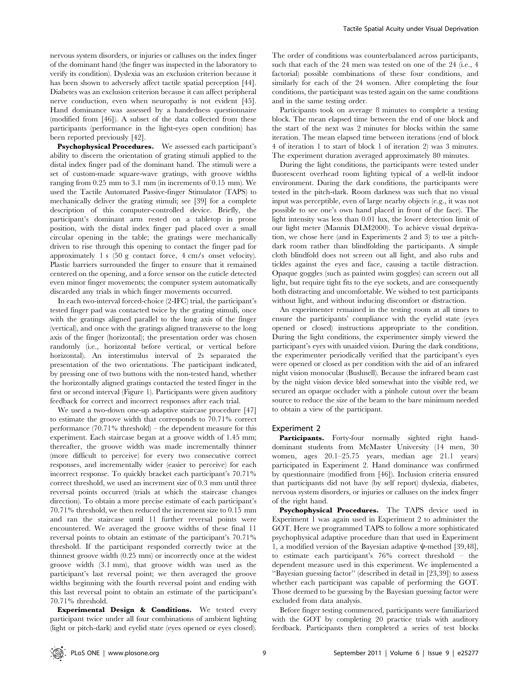nervous system disorders, or injuries or calluses on the index finger of the dominant hand (the finger was inspected in the laboratory to verify its condition). Dyslexia was an exclusion criterion because it has been shown to adversely affect tactile spatial perception [44]. Diabetes was an exclusion criterion because it can affect peripheral nerve conduction, even when neuropathy is not evident [45]. Hand dominance was assessed by a handedness questionnaire (modified from [46]). A subset of the data collected from these participants (performance in the light-eyes open condition) has been reported previously [42].

Psychophysical Procedures. We assessed each participant's ability to discern the orientation of grating stimuli applied to the distal index finger pad of the dominant hand. The stimuli were a set of custom-made square-wave gratings, with groove widths ranging from 0.25 mm to 3.1 mm (in increments of 0.15 mm). We used the Tactile Automated Passive-finger Stimulator (TAPS) to mechanically deliver the grating stimuli; see [39] for a complete description of this computer-controlled device. Briefly, the participant's dominant arm rested on a tabletop in prone position, with the distal index finger pad placed over a small circular opening in the table; the gratings were mechanically driven to rise through this opening to contact the finger pad for approximately 1 s (50 g contact force, 4 cm/s onset velocity). Plastic barriers surrounded the finger to ensure that it remained centered on the opening, and a force sensor on the cuticle detected even minor finger movements; the computer system automatically discarded any trials in which finger movements occurred.

In each two-interval forced-choice (2-IFC) trial, the participant's tested finger pad was contacted twice by the grating stimuli, once with the gratings aligned parallel to the long axis of the finger (vertical), and once with the gratings aligned transverse to the long axis of the finger (horizontal); the presentation order was chosen randomly (i.e., horizontal before vertical, or vertical before horizontal). An interstimulus interval of 2s separated the presentation of the two orientations. The participant indicated, by pressing one of two buttons with the non-tested hand, whether the horizontally aligned gratings contacted the tested finger in the first or second interval (Figure 1). Participants were given auditory feedback for correct and incorrect responses after each trial.

We used a two-down one-up adaptive staircase procedure [47] to estimate the groove width that corresponds to 70.71% correct performance (70.71% threshold) – the dependent measure for this experiment. Each staircase began at a groove width of 1.45 mm; thereafter, the groove width was made incrementally thinner (more difficult to perceive) for every two consecutive correct responses, and incrementally wider (easier to perceive) for each incorrect response. To quickly bracket each participant's 70.71% correct threshold, we used an increment size of 0.3 mm until three reversal points occurred (trials at which the staircase changes direction). To obtain a more precise estimate of each participant's 70.71% threshold, we then reduced the increment size to 0.15 mm and ran the staircase until 11 further reversal points were encountered. We averaged the groove widths of these final 11 reversal points to obtain an estimate of the participant's 70.71% threshold. If the participant responded correctly twice at the thinnest groove width (0.25 mm) or incorrectly once at the widest groove width (3.1 mm), that groove width was used as the participant's last reversal point; we then averaged the groove widths beginning with the fourth reversal point and ending with this last reversal point to obtain an estimate of the participant's 70.71% threshold.

Experimental Design & Conditions. We tested every participant twice under all four combinations of ambient lighting (light or pitch-dark) and eyelid state (eyes opened or eyes closed).

The order of conditions was counterbalanced across participants, such that each of the 24 men was tested on one of the 24 (i.e., 4 factorial) possible combinations of these four conditions, and similarly for each of the 24 women. After completing the four conditions, the participant was tested again on the same conditions and in the same testing order.

Participants took on average 8 minutes to complete a testing block. The mean elapsed time between the end of one block and the start of the next was 2 minutes for blocks within the same iteration. The mean elapsed time between iterations (end of block 4 of iteration 1 to start of block 1 of iteration 2) was 3 minutes. The experiment duration averaged approximately 80 minutes.

During the light conditions, the participants were tested under fluorescent overhead room lighting typical of a well-lit indoor environment. During the dark conditions, the participants were tested in the pitch-dark. Room darkness was such that no visual input was perceptible, even of large nearby objects (e.g., it was not possible to see one's own hand placed in front of the face). The light intensity was less than 0.01 lux, the lower detection limit of our light meter (Mannix DLM2000). To achieve visual deprivation, we chose here (and in Experiments 2 and 3) to use a pitchdark room rather than blindfolding the participants. A simple cloth blindfold does not screen out all light, and also rubs and tickles against the eyes and face, causing a tactile distraction. Opaque goggles (such as painted swim goggles) can screen out all light, but require tight fits to the eye sockets, and are consequently both distracting and uncomfortable. We wished to test participants without light, and without inducing discomfort or distraction.

An experimenter remained in the testing room at all times to ensure the participants' compliance with the eyelid state (eyes opened or closed) instructions appropriate to the condition. During the light conditions, the experimenter simply viewed the participant's eyes with unaided vision. During the dark conditions, the experimenter periodically verified that the participant's eyes were opened or closed as per condition with the aid of an infrared night vision monocular (Bushnell). Because the infrared beam cast by the night vision device bled somewhat into the visible red, we secured an opaque occluder with a pinhole cutout over the beam source to reduce the size of the beam to the bare minimum needed to obtain a view of the participant.

#### Experiment 2

Participants. Forty-four normally sighted right handdominant students from McMaster University (14 men, 30 women, ages 20.1–25.75 years, median age 21.1 years) participated in Experiment 2. Hand dominance was confirmed by questionnaire (modified from [46]). Inclusion criteria ensured that participants did not have (by self report) dyslexia, diabetes, nervous system disorders, or injuries or calluses on the index finger of the right hand.

Psychophysical Procedures. The TAPS device used in Experiment 1 was again used in Experiment 2 to administer the GOT. Here we programmed TAPS to follow a more sophisticated psychophysical adaptive procedure than that used in Experiment 1, a modified version of the Bayesian adaptive  $\psi$ -method [39,48], to estimate each participant's 76% correct threshold – the dependent measure used in this experiment. We implemented a ''Bayesian guessing factor'' (described in detail in [23,39]) to assess whether each participant was capable of performing the GOT. Those deemed to be guessing by the Bayesian guessing factor were excluded from data analysis.

Before finger testing commenced, participants were familiarized with the GOT by completing 20 practice trials with auditory feedback. Participants then completed a series of test blocks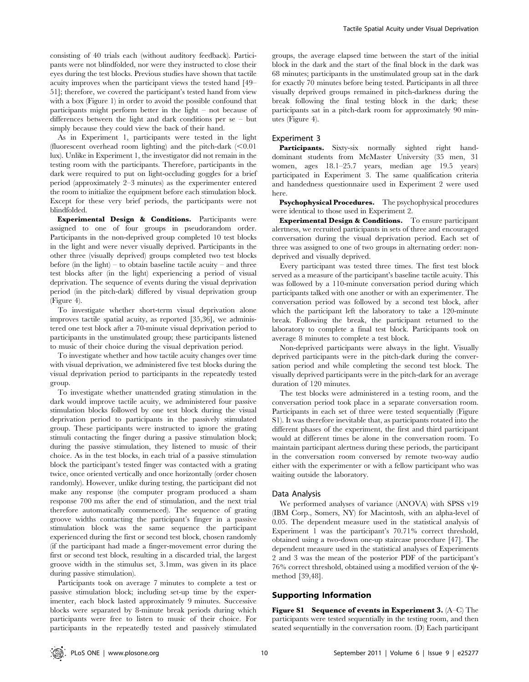consisting of 40 trials each (without auditory feedback). Participants were not blindfolded, nor were they instructed to close their eyes during the test blocks. Previous studies have shown that tactile acuity improves when the participant views the tested hand [49– 51]; therefore, we covered the participant's tested hand from view with a box (Figure 1) in order to avoid the possible confound that participants might perform better in the light – not because of differences between the light and dark conditions per se – but simply because they could view the back of their hand.

As in Experiment 1, participants were tested in the light (fluorescent overhead room lighting) and the pitch-dark  $\leq 0.01$ lux). Unlike in Experiment 1, the investigator did not remain in the testing room with the participants. Therefore, participants in the dark were required to put on light-occluding goggles for a brief period (approximately 2–3 minutes) as the experimenter entered the room to initialize the equipment before each stimulation block. Except for these very brief periods, the participants were not blindfolded.

Experimental Design & Conditions. Participants were assigned to one of four groups in pseudorandom order. Participants in the non-deprived group completed 10 test blocks in the light and were never visually deprived. Participants in the other three (visually deprived) groups completed two test blocks before (in the light) – to obtain baseline tactile acuity – and three test blocks after (in the light) experiencing a period of visual deprivation. The sequence of events during the visual deprivation period (in the pitch-dark) differed by visual deprivation group (Figure 4).

To investigate whether short-term visual deprivation alone improves tactile spatial acuity, as reported [35,36], we administered one test block after a 70-minute visual deprivation period to participants in the unstimulated group; these participants listened to music of their choice during the visual deprivation period.

To investigate whether and how tactile acuity changes over time with visual deprivation, we administered five test blocks during the visual deprivation period to participants in the repeatedly tested group.

To investigate whether unattended grating stimulation in the dark would improve tactile acuity, we administered four passive stimulation blocks followed by one test block during the visual deprivation period to participants in the passively stimulated group. These participants were instructed to ignore the grating stimuli contacting the finger during a passive stimulation block; during the passive stimulation, they listened to music of their choice. As in the test blocks, in each trial of a passive stimulation block the participant's tested finger was contacted with a grating twice, once oriented vertically and once horizontally (order chosen randomly). However, unlike during testing, the participant did not make any response (the computer program produced a sham response 700 ms after the end of stimulation, and the next trial therefore automatically commenced). The sequence of grating groove widths contacting the participant's finger in a passive stimulation block was the same sequence the participant experienced during the first or second test block, chosen randomly (if the participant had made a finger-movement error during the first or second test block, resulting in a discarded trial, the largest groove width in the stimulus set, 3.1mm, was given in its place during passive stimulation).

Participants took on average 7 minutes to complete a test or passive stimulation block; including set-up time by the experimenter, each block lasted approximately 9 minutes. Successive blocks were separated by 8-minute break periods during which participants were free to listen to music of their choice. For participants in the repeatedly tested and passively stimulated groups, the average elapsed time between the start of the initial block in the dark and the start of the final block in the dark was 68 minutes; participants in the unstimulated group sat in the dark for exactly 70 minutes before being tested. Participants in all three visually deprived groups remained in pitch-darkness during the break following the final testing block in the dark; these participants sat in a pitch-dark room for approximately 90 minutes (Figure 4).

#### Experiment 3

Participants. Sixty-six normally sighted right handdominant students from McMaster University (35 men, 31 women, ages 18.1–25.7 years, median age 19.5 years) participated in Experiment 3. The same qualification criteria and handedness questionnaire used in Experiment 2 were used here.

Psychophysical Procedures. The psychophysical procedures were identical to those used in Experiment 2.

Experimental Design & Conditions. To ensure participant alertness, we recruited participants in sets of three and encouraged conversation during the visual deprivation period. Each set of three was assigned to one of two groups in alternating order: nondeprived and visually deprived.

Every participant was tested three times. The first test block served as a measure of the participant's baseline tactile acuity. This was followed by a 110-minute conversation period during which participants talked with one another or with an experimenter. The conversation period was followed by a second test block, after which the participant left the laboratory to take a 120-minute break. Following the break, the participant returned to the laboratory to complete a final test block. Participants took on average 8 minutes to complete a test block.

Non-deprived participants were always in the light. Visually deprived participants were in the pitch-dark during the conversation period and while completing the second test block. The visually deprived participants were in the pitch-dark for an average duration of 120 minutes.

The test blocks were administered in a testing room, and the conversation period took place in a separate conversation room. Participants in each set of three were tested sequentially (Figure S1). It was therefore inevitable that, as participants rotated into the different phases of the experiment, the first and third participant would at different times be alone in the conversation room. To maintain participant alertness during these periods, the participant in the conversation room conversed by remote two-way audio either with the experimenter or with a fellow participant who was waiting outside the laboratory.

### Data Analysis

We performed analyses of variance (ANOVA) with SPSS v19 (IBM Corp., Somers, NY) for Macintosh, with an alpha-level of 0.05. The dependent measure used in the statistical analysis of Experiment 1 was the participant's 70.71% correct threshold, obtained using a two-down one-up staircase procedure [47]. The dependent measure used in the statistical analyses of Experiments 2 and 3 was the mean of the posterior PDF of the participant's 76% correct threshold, obtained using a modified version of the  $\psi$ method [39,48].

## Supporting Information

Figure S1 Sequence of events in Experiment 3. (A–C) The participants were tested sequentially in the testing room, and then seated sequentially in the conversation room. (D) Each participant